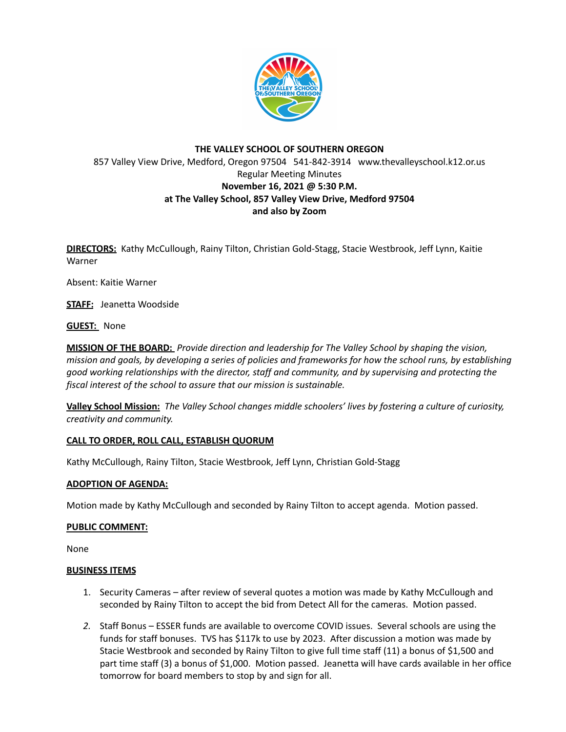

# **THE VALLEY SCHOOL OF SOUTHERN OREGON** 857 Valley View Drive, Medford, Oregon 97504 541-842-3914 www.thevalleyschool.k12.or.us Regular Meeting Minutes **November 16, 2021 @ 5:30 P.M. at The Valley School, 857 Valley View Drive, Medford 97504 and also by Zoom**

**DIRECTORS:** Kathy McCullough, Rainy Tilton, Christian Gold-Stagg, Stacie Westbrook, Jeff Lynn, Kaitie Warner

Absent: Kaitie Warner

**STAFF:** Jeanetta Woodside

**GUEST:** None

**MISSION OF THE BOARD:** *Provide direction and leadership for The Valley School by shaping the vision,* mission and goals, by developing a series of policies and frameworks for how the school runs, by establishing *good working relationships with the director, staff and community, and by supervising and protecting the fiscal interest of the school to assure that our mission is sustainable.*

**Valley School Mission:** *The Valley School changes middle schoolers' lives by fostering a culture of curiosity, creativity and community.*

## **CALL TO ORDER, ROLL CALL, ESTABLISH QUORUM**

Kathy McCullough, Rainy Tilton, Stacie Westbrook, Jeff Lynn, Christian Gold-Stagg

### **ADOPTION OF AGENDA:**

Motion made by Kathy McCullough and seconded by Rainy Tilton to accept agenda. Motion passed.

### **PUBLIC COMMENT:**

None

### **BUSINESS ITEMS**

- 1. Security Cameras after review of several quotes a motion was made by Kathy McCullough and seconded by Rainy Tilton to accept the bid from Detect All for the cameras. Motion passed.
- *2.* Staff Bonus ESSER funds are available to overcome COVID issues. Several schools are using the funds for staff bonuses. TVS has \$117k to use by 2023. After discussion a motion was made by Stacie Westbrook and seconded by Rainy Tilton to give full time staff (11) a bonus of \$1,500 and part time staff (3) a bonus of \$1,000. Motion passed. Jeanetta will have cards available in her office tomorrow for board members to stop by and sign for all.